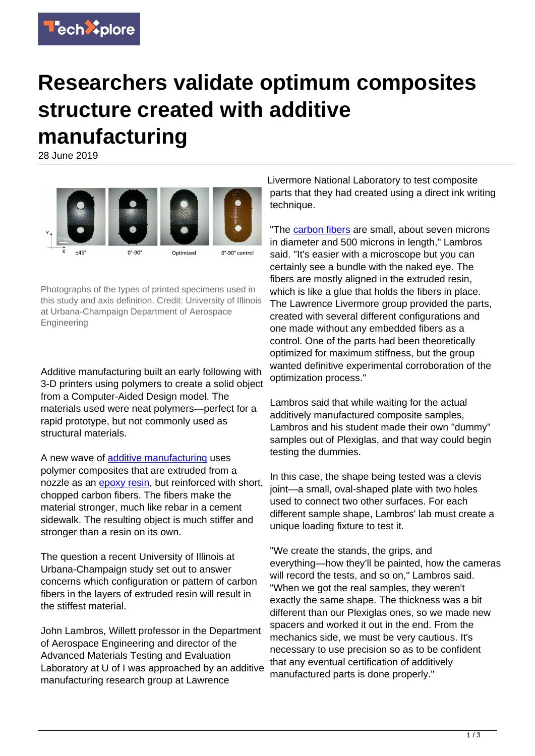

## **Researchers validate optimum composites structure created with additive manufacturing**

28 June 2019



Photographs of the types of printed specimens used in this study and axis definition. Credit: University of Illinois at Urbana-Champaign Department of Aerospace Engineering

Additive manufacturing built an early following with 3-D printers using polymers to create a solid object from a Computer-Aided Design model. The materials used were neat polymers—perfect for a rapid prototype, but not commonly used as structural materials.

A new wave of [additive manufacturing](https://techxplore.com/tags/additive+manufacturing/) uses polymer composites that are extruded from a nozzle as an [epoxy resin](https://techxplore.com/tags/epoxy+resin/), but reinforced with short, chopped carbon fibers. The fibers make the material stronger, much like rebar in a cement sidewalk. The resulting object is much stiffer and stronger than a resin on its own.

The question a recent University of Illinois at Urbana-Champaign study set out to answer concerns which configuration or pattern of carbon fibers in the layers of extruded resin will result in the stiffest material.

John Lambros, Willett professor in the Department of Aerospace Engineering and director of the Advanced Materials Testing and Evaluation Laboratory at U of I was approached by an additive manufacturing research group at Lawrence

Livermore National Laboratory to test composite parts that they had created using a direct ink writing technique.

"The [carbon fibers](https://techxplore.com/tags/carbon+fibers/) are small, about seven microns in diameter and 500 microns in length," Lambros said. "It's easier with a microscope but you can certainly see a bundle with the naked eye. The fibers are mostly aligned in the extruded resin, which is like a glue that holds the fibers in place. The Lawrence Livermore group provided the parts, created with several different configurations and one made without any embedded fibers as a control. One of the parts had been theoretically optimized for maximum stiffness, but the group wanted definitive experimental corroboration of the optimization process."

Lambros said that while waiting for the actual additively manufactured composite samples, Lambros and his student made their own "dummy" samples out of Plexiglas, and that way could begin testing the dummies.

In this case, the shape being tested was a clevis joint—a small, oval-shaped plate with two holes used to connect two other surfaces. For each different sample shape, Lambros' lab must create a unique loading fixture to test it.

"We create the stands, the grips, and everything—how they'll be painted, how the cameras will record the tests, and so on," Lambros said. "When we got the real samples, they weren't exactly the same shape. The thickness was a bit different than our Plexiglas ones, so we made new spacers and worked it out in the end. From the mechanics side, we must be very cautious. It's necessary to use precision so as to be confident that any eventual certification of additively manufactured parts is done properly."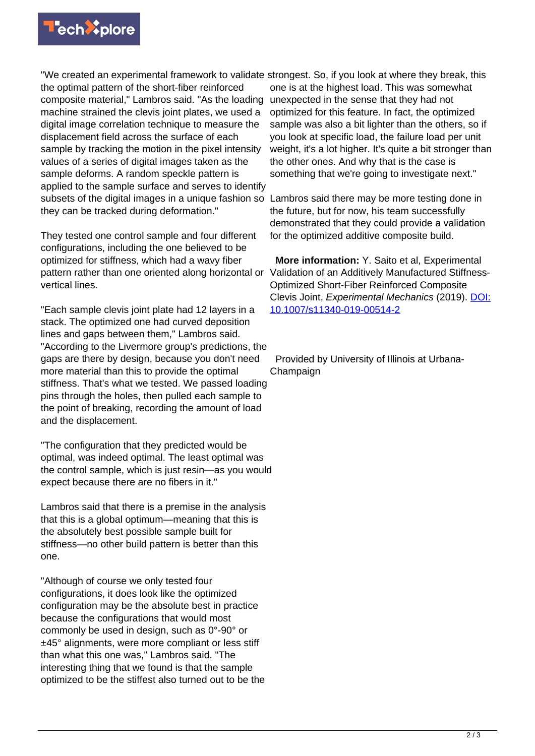

"We created an experimental framework to validate strongest. So, if you look at where they break, this the optimal pattern of the short-fiber reinforced composite material," Lambros said. "As the loading machine strained the clevis joint plates, we used a digital image correlation technique to measure the displacement field across the surface of each sample by tracking the motion in the pixel intensity values of a series of digital images taken as the sample deforms. A random speckle pattern is applied to the sample surface and serves to identify subsets of the digital images in a unique fashion so Lambros said there may be more testing done in they can be tracked during deformation."

They tested one control sample and four different configurations, including the one believed to be optimized for stiffness, which had a wavy fiber pattern rather than one oriented along horizontal or Validation of an Additively Manufactured Stiffnessvertical lines.

"Each sample clevis joint plate had 12 layers in a stack. The optimized one had curved deposition lines and gaps between them," Lambros said. "According to the Livermore group's predictions, the gaps are there by design, because you don't need more material than this to provide the optimal stiffness. That's what we tested. We passed loading pins through the holes, then pulled each sample to the point of breaking, recording the amount of load and the displacement.

"The configuration that they predicted would be optimal, was indeed optimal. The least optimal was the control sample, which is just resin—as you would expect because there are no fibers in it."

Lambros said that there is a premise in the analysis that this is a global optimum—meaning that this is the absolutely best possible sample built for stiffness—no other build pattern is better than this one.

"Although of course we only tested four configurations, it does look like the optimized configuration may be the absolute best in practice because the configurations that would most commonly be used in design, such as 0°-90° or ±45° alignments, were more compliant or less stiff than what this one was," Lambros said. "The interesting thing that we found is that the sample optimized to be the stiffest also turned out to be the

one is at the highest load. This was somewhat unexpected in the sense that they had not optimized for this feature. In fact, the optimized sample was also a bit lighter than the others, so if you look at specific load, the failure load per unit weight, it's a lot higher. It's quite a bit stronger than the other ones. And why that is the case is something that we're going to investigate next."

the future, but for now, his team successfully demonstrated that they could provide a validation for the optimized additive composite build.

 **More information:** Y. Saito et al, Experimental Optimized Short-Fiber Reinforced Composite Clevis Joint, Experimental Mechanics (2019). [DOI:](http://dx.doi.org/10.1007/s11340-019-00514-2) [10.1007/s11340-019-00514-2](http://dx.doi.org/10.1007/s11340-019-00514-2)

 Provided by University of Illinois at Urbana-Champaign